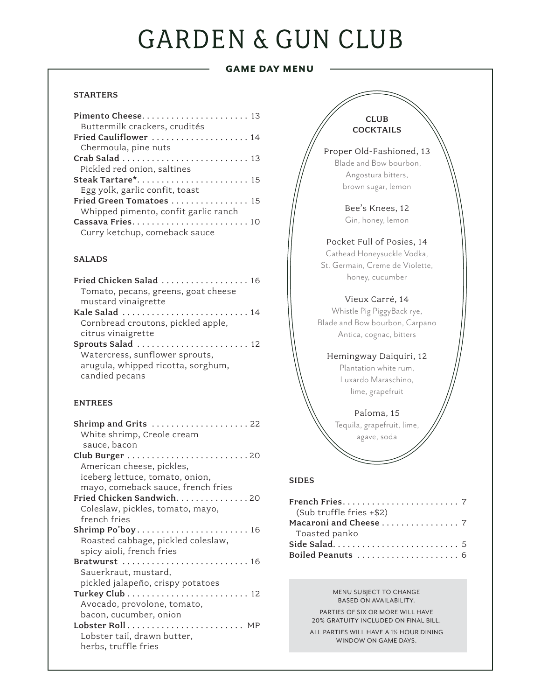# **GARDEN & GUN CLUB**

# GAME DAY MENU

# **STARTERS**

| Pimento Cheese 13                                             |
|---------------------------------------------------------------|
| Buttermilk crackers, crudités                                 |
| Fried Cauliflower  14                                         |
| Chermoula, pine nuts                                          |
| Crab Salad $\ldots \ldots \ldots \ldots \ldots \ldots \ldots$ |
| Pickled red onion, saltines                                   |
| Steak Tartare* 15                                             |
| Egg yolk, garlic confit, toast                                |
| Fried Green Tomatoes  15                                      |
| Whipped pimento, confit garlic ranch                          |
|                                                               |
| Curry ketchup, comeback sauce                                 |

#### SALADS

| Fried Chicken Salad  16                                          |
|------------------------------------------------------------------|
| Tomato, pecans, greens, goat cheese                              |
| mustard vinaigrette                                              |
| Kale Salad $\ldots \ldots \ldots \ldots \ldots \ldots \ldots 14$ |
| Cornbread croutons, pickled apple,                               |
| citrus vinaigrette                                               |
| Sprouts Salad  12                                                |
| Watercress, sunflower sprouts,                                   |
| arugula, whipped ricotta, sorghum,                               |
| candied pecans                                                   |
|                                                                  |

#### ENTREES

| Shrimp and Grits $\ldots \ldots \ldots \ldots \ldots \ldots 22$<br>White shrimp, Creole cream<br>sauce, bacon |
|---------------------------------------------------------------------------------------------------------------|
|                                                                                                               |
| American cheese, pickles,                                                                                     |
| iceberg lettuce, tomato, onion,                                                                               |
| mayo, comeback sauce, french fries                                                                            |
| Fried Chicken Sandwich. 20                                                                                    |
| Coleslaw, pickles, tomato, mayo,                                                                              |
| french fries                                                                                                  |
| Shrimp Po'boy 16                                                                                              |
| Roasted cabbage, pickled coleslaw,                                                                            |
| spicy aioli, french fries                                                                                     |
| <b>Bratwurst</b> 16                                                                                           |
| Sauerkraut, mustard,                                                                                          |
| pickled jalapeño, crispy potatoes                                                                             |
|                                                                                                               |
| Avocado, provolone, tomato,                                                                                   |
| bacon, cucumber, onion                                                                                        |
| Lobster Roll $\dots\dots\dots\dots\dots\dots\dots$                                                            |
| Lobster tail, drawn butter,                                                                                   |
| herbs, truffle fries                                                                                          |
|                                                                                                               |

#### CLUB **COCKTAILS**

Proper Old-Fashioned, 13 Blade and Bow bourbon, Angostura bitters, brown sugar, lemon

> Bee's Knees, 12 Gin, honey, lemon

#### Pocket Full of Posies, 14

Cathead Honeysuckle Vodka, St. Germain, Creme de Violette, honey, cucumber

### Vieux Carré, 14

Whistle Pig PiggyBack rye, Blade and Bow bourbon, Carpano Antica, cognac, bitters

### Hemingway Daiquiri, 12

Plantation white rum, Luxardo Maraschino, lime, grapefruit

Paloma, 15 Tequila, grapefruit, lime, agave, soda

### SIDES

| (Sub truffle fries +\$2) |  |
|--------------------------|--|
|                          |  |
| Toasted panko            |  |
|                          |  |
|                          |  |

#### MENU SUBJECT TO CHANGE BASED ON AVAILABILITY.

PARTIES OF SIX OR MORE WILL HAVE 20% GRATUITY INCLUDED ON FINAL BILL. ALL PARTIES WILL HAVE A 11/2 HOUR DINING WINDOW ON GAME DAYS.